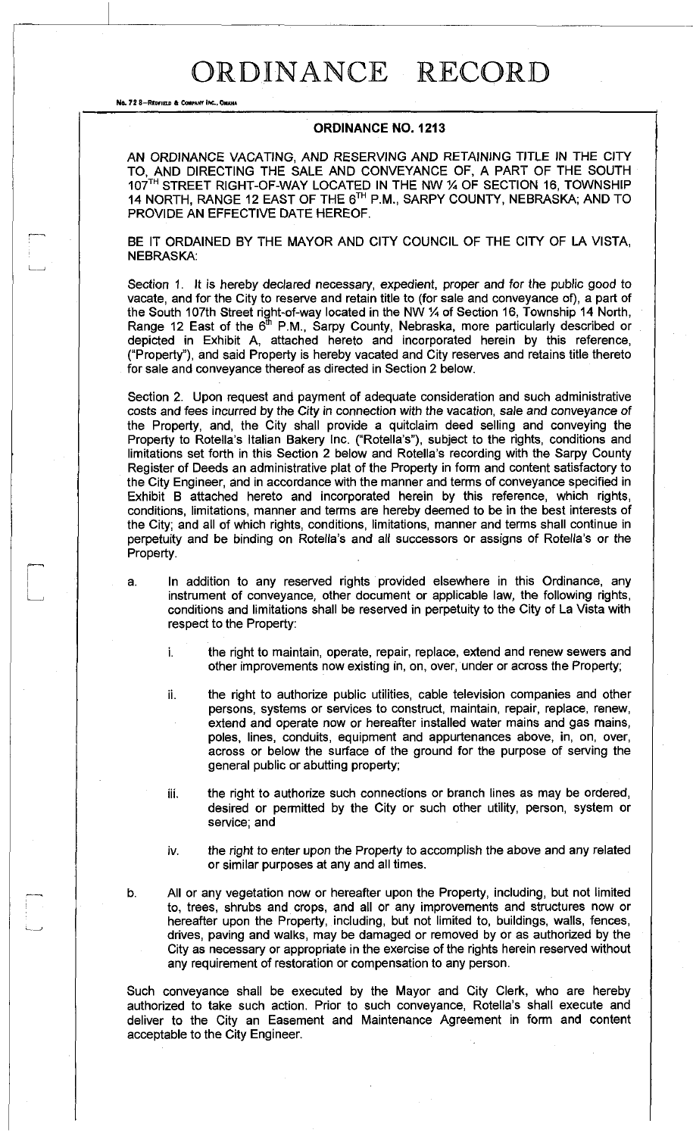## ORDINANCE RECORD

No. 72 8-REDFIELD & COMPANY INC., OMAHA

## **ORDINANCE NO. 1213**

AN ORDINANCE VACATING, AND RESERVING AND RETAINING TITLE IN THE CITY TO, AND DIRECTING THE SALE AND CONVEYANCE OF, A PART OF THE SOUTH 107<sup>TH</sup> STREET RIGHT-OF-WAY LOCATED IN THE NW % OF SECTION 16, TOWNSHIP 14 NORTH, RANGE 12 EAST OF THE 6™ P.M., SARPY COUNTY, NEBRASKA; AND TO PROVIDE AN EFFECTIVE DATE HEREOF.

BE IT ORDAINED BY THE MAYOR AND CITY COUNCIL OF THE CITY OF LA VISTA, NEBRASKA:

Section 1. It is hereby declared necessary, expedient, proper and for the public good to vacate, and for the City to reserve and retain title to (for sale and conveyance of), a part of the South 107th Street right-of-way located in the NW *VA* of Section 16, Township 14 North, Range 12 East of the  $6<sup>th</sup>$  P.M., Sarpy County, Nebraska, more particularly described or depicted in Exhibit A, attached hereto and incorporated herein by this reference, ("Property"), and said Property is hereby vacated and City reserves and retains title thereto for sale and conveyance thereof as directed in Section 2 below.

Section 2. Upon request and payment of adequate consideration and such administrative costs and fees incurred *by* the *City in* connection with the vacation, sale and conveyance *of*  the Property, and, the City shall provide a quitclaim deed selling and conveying the Property to Rotella's Italian Bakery Inc. ("Rotella's"), subject to the rights, conditions and limitations set forth in this Section 2 below and Rotella's recording with the Sarpy County Register of Deeds an administrative plat of the Property in form and content satisfactory to the City Engineer, and in accordance with the manner and terms of conveyance specified in Exhibit B attached hereto and incorporated herein by this reference, which rights, conditions, limitations, manner and terms are hereby deemed to be in the best interests of the City; and all of which rights, conditions, limitations, manner and terms shall continue in perpetuity and be binding on Rotella's and all successors or assigns of Rotella's or the Property.

- a. In addition to any reserved rights provided elsewhere in this Ordinance, any instrument of conveyance, other document or applicable law, the following rights, conditions and limitations shall be reserved in perpetuity to the City of La Vista with respect to the Property:
	- i. the right to maintain, operate, repair, replace, extend and renew sewers and other improvements now existing in, on, over, under or across the Property;
	- ii. the right to authorize public utilities, cable television companies and other persons, systems or services to construct, maintain, repair, replace, renew, extend and operate now or hereafter installed water mains and gas mains, poles, lines, conduits, equipment and appurtenances above, in, on, over, across or below the surface of the ground for the purpose of serving the general public or abutting property;
	- iii. the right to authorize such connections or branch lines as may be ordered, desired or permitted by the City or such other utility, person, system or service; and
	- iv. the right to enter upon the Property to accomplish the above and any related or similar purposes at any and all times.

b. All or any vegetation now or hereafter upon the Property, including, but not limited to, trees, shrubs and crops, and all or any improvements and structures now or hereafter upon the Property, including, but not limited to, buildings, walls, fences, drives, paving and walks, may be damaged or removed by or as authorized by the City as necessary or appropriate in the exercise of the rights herein reserved without any requirement of restoration or compensation to any person.

Such conveyance shall be executed by the Mayor and City Clerk, who are hereby authorized to take such action. Prior to such conveyance, Rotella's shall execute and deliver to the City an Easement and Maintenance Agreement in form and content acceptable to the City Engineer.